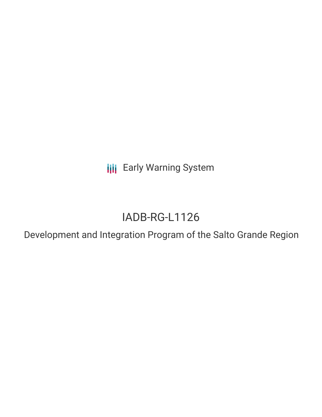**III** Early Warning System

# IADB-RG-L1126

Development and Integration Program of the Salto Grande Region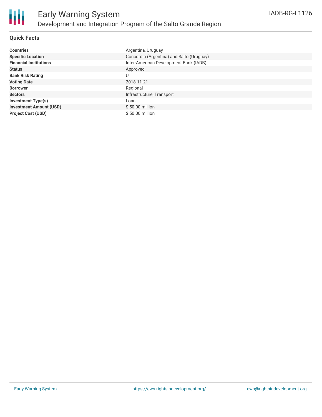

#### **Quick Facts**

| <b>Countries</b>               | Argentina, Uruguay                        |
|--------------------------------|-------------------------------------------|
| <b>Specific Location</b>       | Concordia (Argentina) and Salto (Uruguay) |
| <b>Financial Institutions</b>  | Inter-American Development Bank (IADB)    |
| <b>Status</b>                  | Approved                                  |
| <b>Bank Risk Rating</b>        | U                                         |
| <b>Voting Date</b>             | 2018-11-21                                |
| <b>Borrower</b>                | Regional                                  |
| <b>Sectors</b>                 | Infrastructure, Transport                 |
| <b>Investment Type(s)</b>      | Loan                                      |
| <b>Investment Amount (USD)</b> | $$50.00$ million                          |
| <b>Project Cost (USD)</b>      | \$50.00 million                           |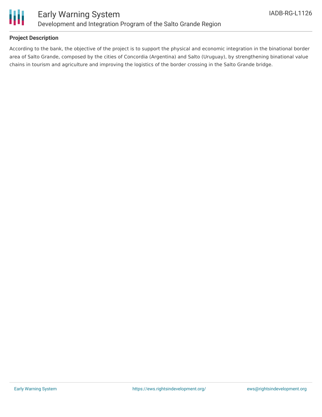

#### **Project Description**

According to the bank, the objective of the project is to support the physical and economic integration in the binational border area of Salto Grande, composed by the cities of Concordia (Argentina) and Salto (Uruguay), by strengthening binational value chains in tourism and agriculture and improving the logistics of the border crossing in the Salto Grande bridge.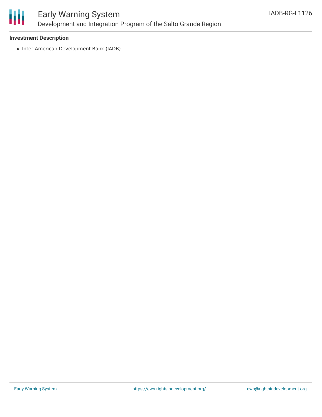

## Early Warning System Development and Integration Program of the Salto Grande Region

#### **Investment Description**

• Inter-American Development Bank (IADB)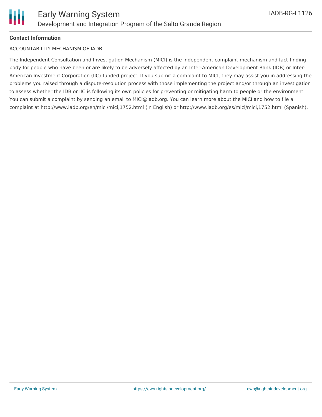### **Contact Information**

#### ACCOUNTABILITY MECHANISM OF IADB

The Independent Consultation and Investigation Mechanism (MICI) is the independent complaint mechanism and fact-finding body for people who have been or are likely to be adversely affected by an Inter-American Development Bank (IDB) or Inter-American Investment Corporation (IIC)-funded project. If you submit a complaint to MICI, they may assist you in addressing the problems you raised through a dispute-resolution process with those implementing the project and/or through an investigation to assess whether the IDB or IIC is following its own policies for preventing or mitigating harm to people or the environment. You can submit a complaint by sending an email to MICI@iadb.org. You can learn more about the MICI and how to file a complaint at http://www.iadb.org/en/mici/mici,1752.html (in English) or http://www.iadb.org/es/mici/mici,1752.html (Spanish).